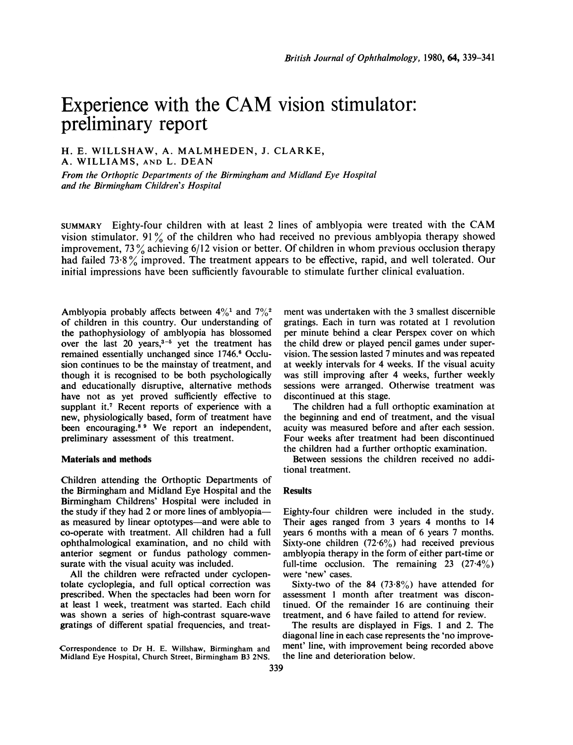# Experience with the CAM vision stimulator: preliminary report

## H. E. WILLSHAW, A. MALMHEDEN, J. CLARKE, A. WILLIAMS, AND L. DEAN

From the Orthoptic Departments of the Birmingham and Midland Eye Hospital and the Birmingham Children's Hospital

SUMMARY Eighty-four children with at least <sup>2</sup> lines of amblyopia were treated with the CAM vision stimulator. <sup>91</sup> % of the children who had received no previous amblyopia therapy showed improvement, 73% achieving 6/12 vision or better. Of children in whom previous occlusion therapy had failed <sup>73</sup> <sup>8</sup> % improved. The treatment appears to be effective, rapid, and well tolerated. Our initial impressions have been sufficiently favourable to stimulate further clinical evaluation.

Amblyopia probably affects between  $4\frac{0}{1}$  and  $7\frac{0}{2}$ of children in this country. Our understanding of the pathophysiology of amblyopia has blossomed over the last 20 years, $3-5$  yet the treatment has remained essentially unchanged since 1746.<sup>6</sup> Occlusion continues to be the mainstay of treatment, and though it is recognised to be both psychologically and educationally disruptive, alternative methods have not as yet proved sufficiently effective to supplant it.<sup>7</sup> Recent reports of experience with a new, physiologically based, form of treatment have been encouraging.<sup>89</sup> We report an independent, preliminary assessment of this treatment.

#### Materials and methods

Children attending the Orthoptic Departments of the Birmingham and Midland Eye Hospital and the Birmingham Childrens' Hospital were included in the study if they had 2 or more lines of amblyopiaas measured by linear optotypes—and were able to co-operate with treatment. All children had a full ophthalmological examination, and no child with anterior segment or fundus pathology commensurate with the visual acuity was included.

All the children were refracted under cyclopentolate cycloplegia, and full optical correction was prescribed. When the spectacles had been worn for at least <sup>1</sup> week, treatment was started. Each child was shown a series of high-contrast square-wave gratings of different spatial frequencies, and treat-

Correspondence to Dr H. E. Willshaw, Birmingham and Midland Eye Hospital, Church Street, Birmingham B3 2NS.

ment was undertaken with the 3 smallest discernible gratings. Each in turn was rotated at <sup>1</sup> revolution per minute behind a clear Perspex cover on which the child drew or played pencil games under supervision. The session lasted 7 minutes and was repeated at weekly intervals for 4 weeks. If the visual acuity was still improving after 4 weeks, further weekly sessions were arranged. Otherwise treatment was discontinued at this stage.

The children had a full orthoptic examination at the beginning and end of treatment, and the visual acuity was measured before and after each session. Four weeks after treatment had been discontinued the children had a further orthoptic examination.

Between sessions the children received no additional treatment.

## Results

Eighty-four children were included in the study. Their ages ranged from 3 years 4 months to 14 years 6 months with a mean of 6 years 7 months. Sixty-one children  $(72.6\%)$  had received previous amblyopia therapy in the form of either part-time or full-time occlusion. The remaining 23  $(27.4\%)$ were 'new' cases.

Sixty-two of the 84 (73.8%) have attended for assessment <sup>1</sup> month after treatment was discontinued. Of the remainder 16 are continuing their treatment, and 6 have failed to attend for review.

The results are displayed in Figs. <sup>1</sup> and 2. The diagonal line in each case represents the 'no improvement' line, with improvement being recorded above the line and deterioration below.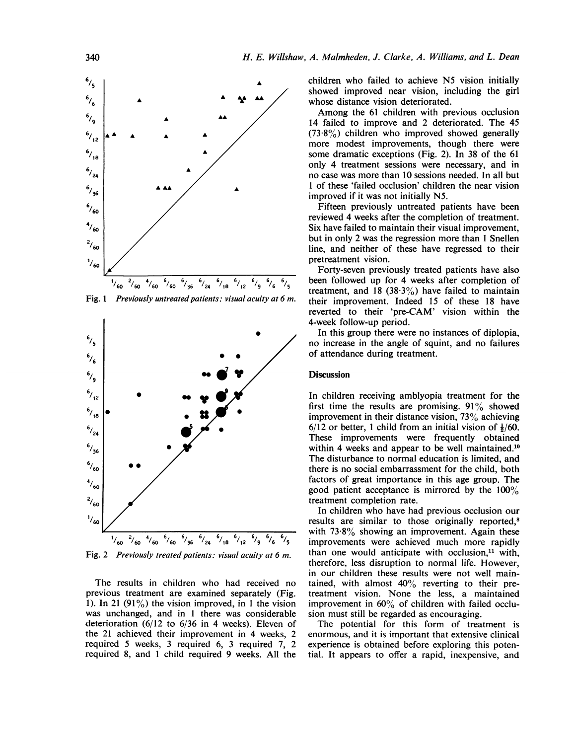

Fig. 1 Previously untreated patients: visual acuity at 6 m.



Fig. 2 Previously treated patients: visual acuity at 6 m.

The results in children who had received no previous treatment are examined separately (Fig. 1). In 21  $(91\%)$  the vision improved, in 1 the vision was unchanged, and in <sup>1</sup> there was considerable deterioration (6/12 to 6/36 in 4 weeks). Eleven of the 21 achieved their improvement in 4 weeks, 2 required 5 weeks, 3 required 6, 3 required 7, 2 required 8, and <sup>1</sup> child required 9 weeks. All the children who failed to achieve N5 vision initially showed improved near vision, including the girl whose distance vision deteriorated.

Among the <sup>61</sup> children with previous occlusion 14 failed to improve and 2 deteriorated. The 45  $(73.8\%)$  children who improved showed generally more modest improvements, though there were some dramatic exceptions (Fig. 2). In 38 of the 61 only 4 treatment sessions were necessary, and in no case was more than 10 sessions needed. In all but <sup>1</sup> of these 'failed occlusion' children the near vision improved if it was not initially N5.

Fifteen previously untreated patients have been reviewed 4 weeks after the completion of treatment. Six have failed to maintain their visual improvement, but in only 2 was the regression more than <sup>1</sup> Snellen line, and neither of these have regressed to their pretreatment vision.

Forty-seven previously treated patients have also been followed up for 4 weeks after completion of treatment, and 18 (38.3%) have failed to maintain their improvement. Indeed 15 of these 18 have reverted to their 'pre-CAM' vision within the 4-week follow-up period.

In this group there were no instances of diplopia, no increase in the angle of squint, and no failures of attendance during treatment.

### **Discussion**

In children receiving amblyopia treatment for the first time the results are promising.  $91\%$  showed improvement in their distance vision, 73% achieving  $6/12$  or better, 1 child from an initial vision of  $\frac{1}{60}$ . These improvements were frequently obtained within 4 weeks and appear to be well maintained.<sup>10</sup> The disturbance to normal education is limited, and there is no social embarrassment for the child, both factors of great importance in this age group. The good patient acceptance is mirrored by the  $100\%$ treatment completion rate.

In children who have had previous occlusion our results are similar to those originally reported,<sup>8</sup> with  $73.8\%$  showing an improvement. Again these improvements were achieved much more rapidly than one would anticipate with occlusion, $11$  with, therefore, less disruption to normal life. However, in our children these results were not well maintained, with almost  $40\%$  reverting to their pretreatment vision. None the less, a maintained improvement in 60% of children with failed occlusion must still be regarded as encouraging.

The potential for this form of treatment is enormous, and it is important that extensive clinical experience is obtained before exploring this potential. It appears to offer a rapid, inexpensive, and